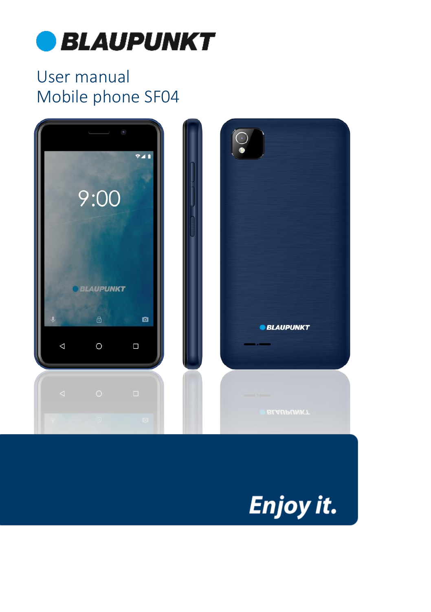

# User manual Mobile phone SF04



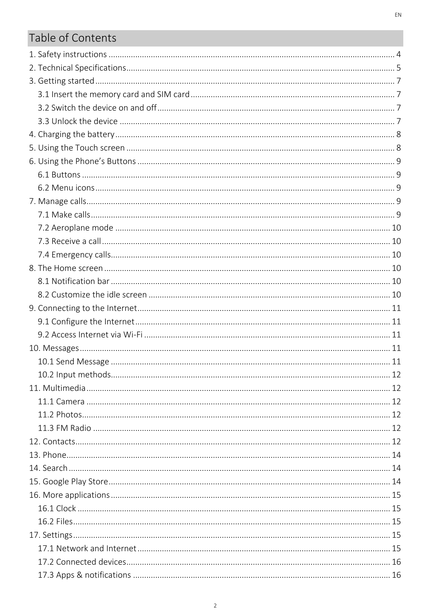# Table of Contents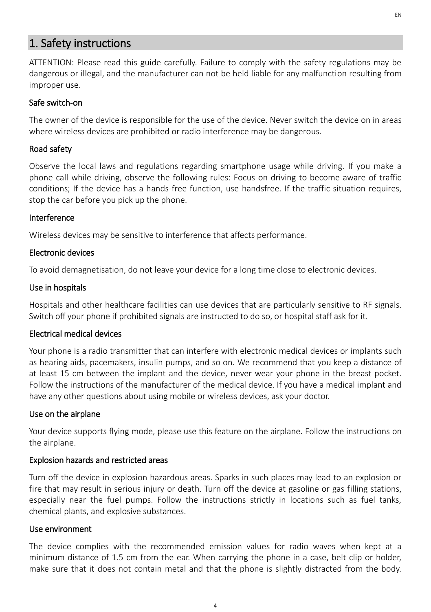# <span id="page-3-0"></span>1. Safety instructions

ATTENTION: Please read this guide carefully. Failure to comply with the safety regulations may be dangerous or illegal, and the manufacturer can not be held liable for any malfunction resulting from improper use.

#### Safe switch-on

The owner of the device is responsible for the use of the device. Never switch the device on in areas where wireless devices are prohibited or radio interference may be dangerous.

#### Road safety

Observe the local laws and regulations regarding smartphone usage while driving. If you make a phone call while driving, observe the following rules: Focus on driving to become aware of traffic conditions; If the device has a hands-free function, use handsfree. If the traffic situation requires, stop the car before you pick up the phone.

#### Interference

Wireless devices may be sensitive to interference that affects performance.

#### Electronic devices

To avoid demagnetisation, do not leave your device for a long time close to electronic devices.

#### Use in hospitals

Hospitals and other healthcare facilities can use devices that are particularly sensitive to RF signals. Switch off your phone if prohibited signals are instructed to do so, or hospital staff ask for it.

#### Electrical medical devices

Your phone is a radio transmitter that can interfere with electronic medical devices or implants such as hearing aids, pacemakers, insulin pumps, and so on. We recommend that you keep a distance of at least 15 cm between the implant and the device, never wear your phone in the breast pocket. Follow the instructions of the manufacturer of the medical device. If you have a medical implant and have any other questions about using mobile or wireless devices, ask your doctor.

#### Use on the airplane

Your device supports flying mode, please use this feature on the airplane. Follow the instructions on the airplane.

#### Explosion hazards and restricted areas

Turn off the device in explosion hazardous areas. Sparks in such places may lead to an explosion or fire that may result in serious injury or death. Turn off the device at gasoline or gas filling stations, especially near the fuel pumps. Follow the instructions strictly in locations such as fuel tanks, chemical plants, and explosive substances.

#### Use environment

The device complies with the recommended emission values for radio waves when kept at a minimum distance of 1.5 cm from the ear. When carrying the phone in a case, belt clip or holder, make sure that it does not contain metal and that the phone is slightly distracted from the body.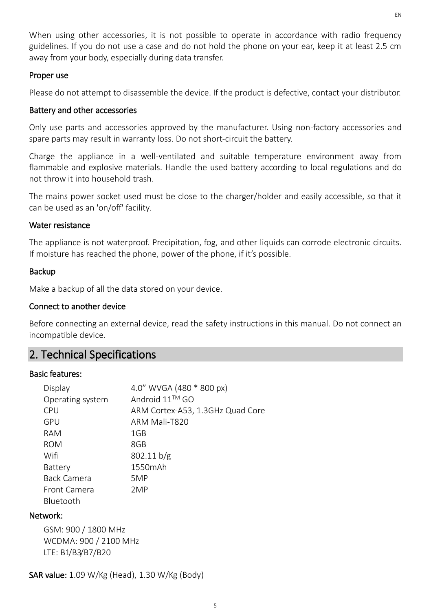When using other accessories, it is not possible to operate in accordance with radio frequency guidelines. If you do not use a case and do not hold the phone on your ear, keep it at least 2.5 cm away from your body, especially during data transfer.

#### Proper use

Please do not attempt to disassemble the device. If the product is defective, contact your distributor.

#### Battery and other accessories

Only use parts and accessories approved by the manufacturer. Using non-factory accessories and spare parts may result in warranty loss. Do not short-circuit the battery.

Charge the appliance in a well-ventilated and suitable temperature environment away from flammable and explosive materials. Handle the used battery according to local regulations and do not throw it into household trash.

The mains power socket used must be close to the charger/holder and easily accessible, so that it can be used as an 'on/off' facility.

#### Water resistance

The appliance is not waterproof. Precipitation, fog, and other liquids can corrode electronic circuits. If moisture has reached the phone, power of the phone, if it's possible.

#### Backup

Make a backup of all the data stored on your device.

#### Connect to another device

Before connecting an external device, read the safety instructions in this manual. Do not connect an incompatible device.

# <span id="page-4-0"></span>2. Technical Specifications

#### Basic features:

| Display            | 4.0" WVGA (480 * 800 px)         |
|--------------------|----------------------------------|
| Operating system   | Android 11™ GO                   |
| <b>CPU</b>         | ARM Cortex-A53, 1.3GHz Quad Core |
| GPU                | ARM Mali-T820                    |
| RAM                | 1GB                              |
| <b>ROM</b>         | 8GB                              |
| Wifi               | 802.11 b/g                       |
| Battery            | 1550mAh                          |
| <b>Back Camera</b> | 5MP                              |
| Front Camera       | 2MP                              |
| Bluetooth          |                                  |

#### Network:

GSM: 900 / 1800 MHz WCDMA: 900 / 2100 MHz LTE: B1/B3/B7/B20

SAR value: 1.09 W/Kg (Head), 1.30 W/Kg (Body)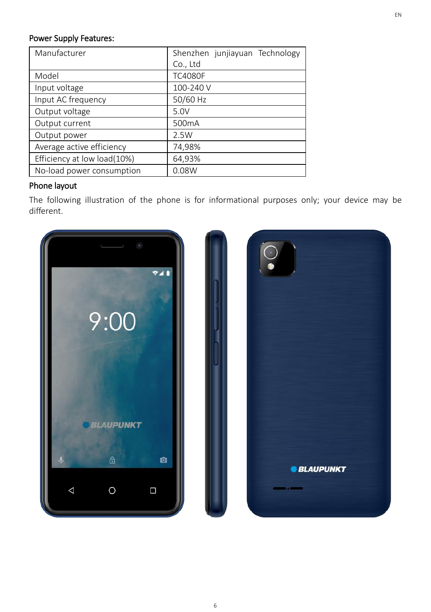#### Power Supply Features:

| Manufacturer                | Shenzhen junjiayuan Technology |
|-----------------------------|--------------------------------|
|                             | Co., Ltd                       |
| Model                       | <b>TC4080F</b>                 |
| Input voltage               | 100-240 V                      |
| Input AC frequency          | 50/60 Hz                       |
| Output voltage              | 5.0V                           |
| Output current              | 500 <sub>m</sub> A             |
| Output power                | 2.5W                           |
| Average active efficiency   | 74,98%                         |
| Efficiency at low load(10%) | 64,93%                         |
| No-load power consumption   | 0.08W                          |

### Phone layout

The following illustration of the phone is for informational purposes only; your device may be different.

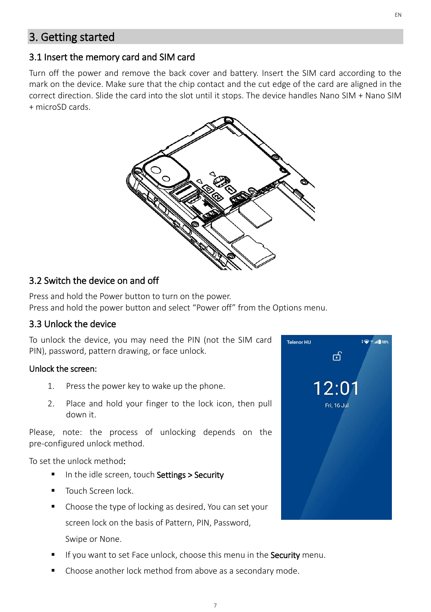# <span id="page-6-0"></span>3. Getting started

### <span id="page-6-1"></span>3.1 Insert the memory card and SIM card

Turn off the power and remove the back cover and battery. Insert the SIM card according to the mark on the device. Make sure that the chip contact and the cut edge of the card are aligned in the correct direction. Slide the card into the slot until it stops. The device handles Nano SIM + Nano SIM + microSD cards.



### <span id="page-6-2"></span>3.2 Switch the device on and off

Press and hold the Power button to turn on the power. Press and hold the power button and select "Power off" from the Options menu.

### <span id="page-6-3"></span>3.3 Unlock the device

To unlock the device, you may need the PIN (not the SIM card PIN), password, pattern drawing, or face unlock.

#### Unlock the screen:

- 1. Press the power key to wake up the phone.
- 2. Place and hold your finger to the lock icon, then pull down it.

Please, note: the process of unlocking depends on the pre-configured unlock method.

To set the unlock method:

- In the idle screen, touch Settings > Security
- Touch Screen lock.
- Choose the type of locking as desired. You can set your screen lock on the basis of Pattern, PIN, Password, Swipe or None.
- If you want to set Face unlock, choose this menu in the **Security** menu.
- Choose another lock method from above as a secondary mode.

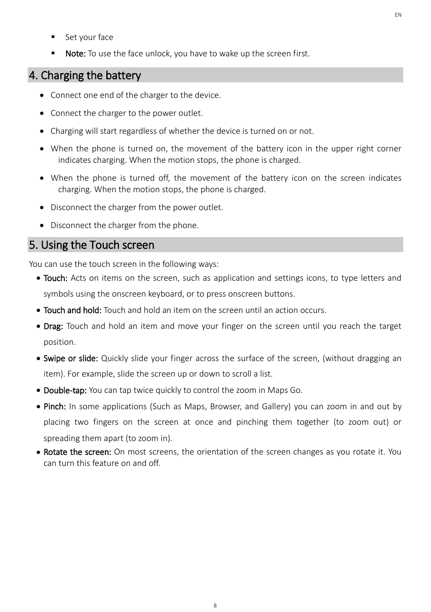- Set your face
- Note: To use the face unlock, you have to wake up the screen first.

# <span id="page-7-0"></span>4. Charging the battery

- Connect one end of the charger to the device.
- Connect the charger to the power outlet.
- Charging will start regardless of whether the device is turned on or not.
- When the phone is turned on, the movement of the battery icon in the upper right corner indicates charging. When the motion stops, the phone is charged.
- When the phone is turned off, the movement of the battery icon on the screen indicates charging. When the motion stops, the phone is charged.
- Disconnect the charger from the power outlet.
- Disconnect the charger from the phone.

# <span id="page-7-1"></span>5. Using the Touch screen

You can use the touch screen in the following ways:

- Touch: Acts on items on the screen, such as application and settings icons, to type letters and symbols using the onscreen keyboard, or to press onscreen buttons.
- Touch and hold: Touch and hold an item on the screen until an action occurs.
- Drag: Touch and hold an item and move your finger on the screen until you reach the target position.
- Swipe or slide: Quickly slide your finger across the surface of the screen, (without dragging an item). For example, slide the screen up or down to scroll a list.
- Double-tap: You can tap twice quickly to control the zoom in Maps Go.
- Pinch: In some applications (Such as Maps, Browser, and Gallery) you can zoom in and out by placing two fingers on the screen at once and pinching them together (to zoom out) or spreading them apart (to zoom in).
- Rotate the screen: On most screens, the orientation of the screen changes as you rotate it. You can turn this feature on and off.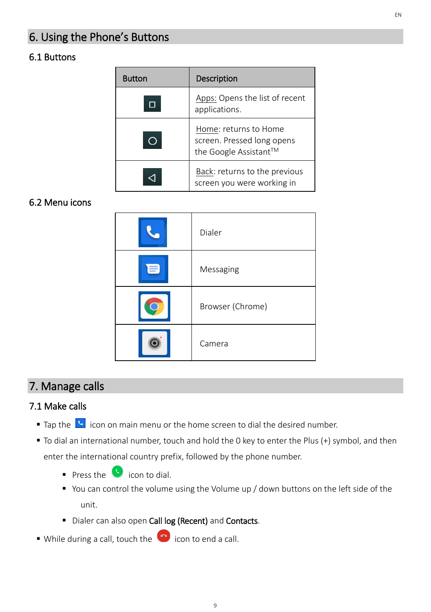# <span id="page-8-0"></span>6. Using the Phone's Buttons

### <span id="page-8-1"></span>6.1 Buttons

| <b>Button</b> | Description                                                                  |
|---------------|------------------------------------------------------------------------------|
|               | Apps: Opens the list of recent<br>applications.                              |
|               | Home: returns to Home<br>screen. Pressed long opens<br>the Google Assistant™ |
|               | Back: returns to the previous<br>screen you were working in                  |

### <span id="page-8-2"></span>6.2 Menu icons

| Dialer           |
|------------------|
| Messaging        |
| Browser (Chrome) |
| Camera           |

# <span id="page-8-3"></span>7. Manage calls

# <span id="page-8-4"></span>7.1 Make calls

- Tap the **b** icon on main menu or the home screen to dial the desired number.
- To dial an international number, touch and hold the 0 key to enter the Plus (+) symbol, and then enter the international country prefix, followed by the phone number.
	- $\bullet$  Press the  $\bullet$  icon to dial.
	- You can control the volume using the Volume up / down buttons on the left side of the unit.
	- **·** Dialer can also open Call log (Recent) and Contacts.
- $\bullet$  While during a call, touch the  $\bullet$  icon to end a call.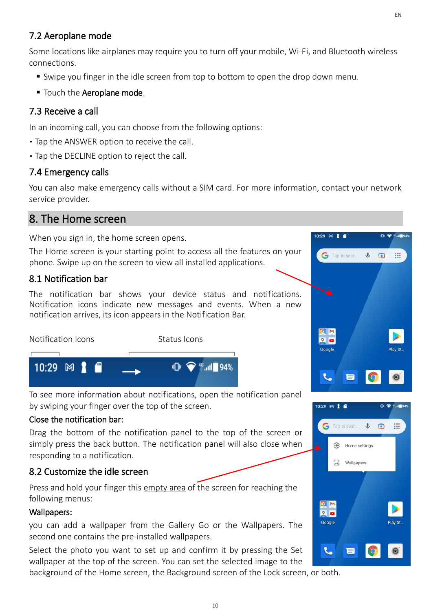# <span id="page-9-0"></span>7.2 Aeroplane mode

Some locations like airplanes may require you to turn off your mobile, Wi-Fi, and Bluetooth wireless connections.

- Swipe you finger in the idle screen from top to bottom to open the drop down menu.
- **Touch the Aeroplane mode.**

# <span id="page-9-1"></span>7.3 Receive a call

In an incoming call, you can choose from the following options:

- Tap the ANSWER option to receive the call.
- Tap the DECLINE option to reject the call.

# <span id="page-9-2"></span>7.4 Emergency calls

You can also make emergency calls without a SIM card. For more information, contact your network service provider.

# <span id="page-9-3"></span>8. The Home screen

When you sign in, the home screen opens.

The Home screen is your starting point to access all the features on your phone. Swipe up on the screen to view all installed applications.

# <span id="page-9-4"></span>8.1 Notification bar

The notification bar shows your device status and notifications. Notification icons indicate new messages and events. When a new notification arrives, its icon appears in the Notification Bar.



To see more information about notifications, open the notification panel by swiping your finger over the top of the screen.

### Close the notification bar:

Drag the bottom of the notification panel to the top of the screen or simply press the back button. The notification panel will also close when responding to a notification.

# <span id="page-9-5"></span>8.2 Customize the idle screen

Press and hold your finger this empty area of the screen for reaching the following menus:

### Wallpapers:

you can add a wallpaper from the Gallery Go or the Wallpapers. The second one contains the pre-installed wallpapers.

Select the photo you want to set up and confirm it by pressing the Set wallpaper at the top of the screen. You can set the selected image to the

background of the Home screen, the Background screen of the Lock screen, or both.



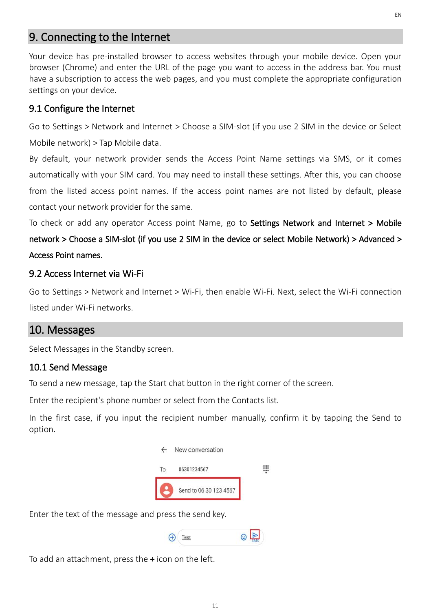# <span id="page-10-0"></span>9. Connecting to the Internet

Your device has pre-installed browser to access websites through your mobile device. Open your browser (Chrome) and enter the URL of the page you want to access in the address bar. You must have a subscription to access the web pages, and you must complete the appropriate configuration settings on your device.

### <span id="page-10-1"></span>9.1 Configure the Internet

Go to Settings > Network and Internet > Choose a SIM-slot (if you use 2 SIM in the device or Select Mobile network) > Tap Mobile data.

By default, your network provider sends the Access Point Name settings via SMS, or it comes automatically with your SIM card. You may need to install these settings. After this, you can choose from the listed access point names. If the access point names are not listed by default, please contact your network provider for the same.

To check or add any operator Access point Name, go to Settings Network and Internet > Mobile network > Choose a SIM-slot (if you use 2 SIM in the device or select Mobile Network) > Advanced > Access Point names.

### <span id="page-10-2"></span>9.2 Access Internet via Wi-Fi

Go to Settings > Network and Internet > Wi-Fi, then enable Wi-Fi. Next, select the Wi-Fi connection listed under Wi-Fi networks.

### <span id="page-10-3"></span>10. Messages

Select Messages in the Standby screen.

#### <span id="page-10-4"></span>10.1 Send Message

To send a new message, tap the Start chat button in the right corner of the screen.

Enter the recipient's phone number or select from the Contacts list.

In the first case, if you input the recipient number manually, confirm it by tapping the Send to option.



Enter the text of the message and press the send key.

To add an attachment, press the + icon on the left.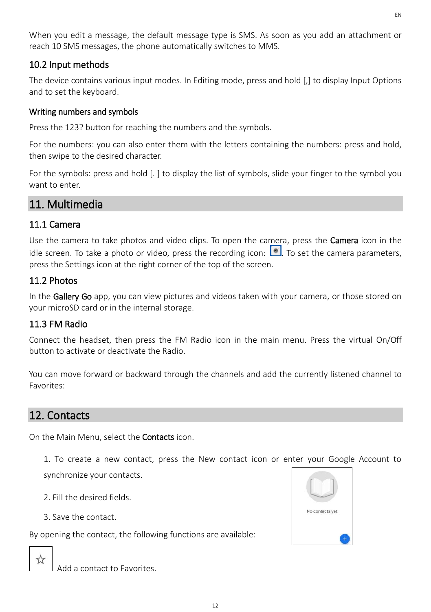When you edit a message, the default message type is SMS. As soon as you add an attachment or reach 10 SMS messages, the phone automatically switches to MMS.

### <span id="page-11-0"></span>10.2 Input methods

The device contains various input modes. In Editing mode, press and hold [,] to display Input Options and to set the keyboard.

### Writing numbers and symbols

Press the 123? button for reaching the numbers and the symbols.

For the numbers: you can also enter them with the letters containing the numbers: press and hold, then swipe to the desired character.

For the symbols: press and hold [. ] to display the list of symbols, slide your finger to the symbol you want to enter.

# <span id="page-11-1"></span>11. Multimedia

# <span id="page-11-2"></span>11.1 Camera

Use the camera to take photos and video clips. To open the camera, press the **Camera** icon in the idle screen. To take a photo or video, press the recording icon:  $\bullet$  To set the camera parameters, press the Settings icon at the right corner of the top of the screen.

# <span id="page-11-3"></span>11.2 Photos

In the Gallery Go app, you can view pictures and videos taken with your camera, or those stored on your microSD card or in the internal storage.

# <span id="page-11-4"></span>11.3 FM Radio

Connect the headset, then press the FM Radio icon in the main menu. Press the virtual On/Off button to activate or deactivate the Radio.

You can move forward or backward through the channels and add the currently listened channel to Favorites:

# <span id="page-11-5"></span>12. Contacts

On the Main Menu, select the Contacts icon.

1. To create a new contact, press the New contact icon or enter your Google Account to synchronize your contacts.

- 2. Fill the desired fields.
- 3. Save the contact.

By opening the contact, the following functions are available:



Add a contact to Favorites.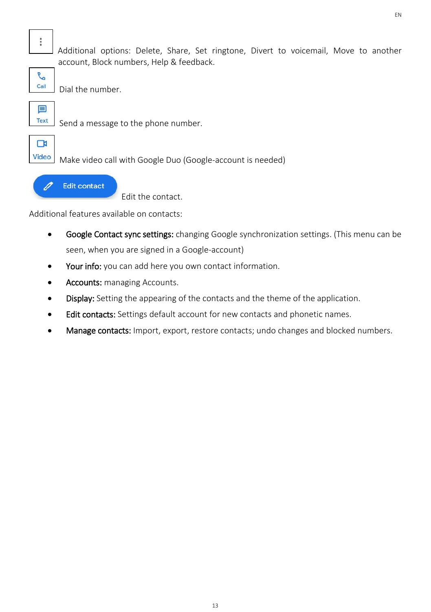$\ddot{\cdot}$ 

Additional options: Delete, Share, Set ringtone, Divert to voicemail, Move to another account, Block numbers, Help & feedback.



Dial the number.



Send a message to the phone number.



Make video call with Google Duo (Google-account is needed)



Edit the contact.

Additional features available on contacts:

- Google Contact sync settings: changing Google synchronization settings. (This menu can be seen, when you are signed in a Google-account)
- Your info: you can add here you own contact information.
- Accounts: managing Accounts.
- Display: Setting the appearing of the contacts and the theme of the application.
- **Edit contacts:** Settings default account for new contacts and phonetic names.
- Manage contacts: Import, export, restore contacts; undo changes and blocked numbers.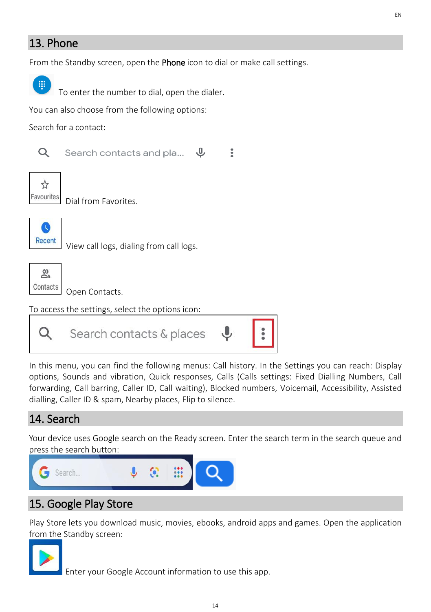# <span id="page-13-0"></span>13. Phone

From the Standby screen, open the **Phone** icon to dial or make call settings.



To enter the number to dial, open the dialer.

You can also choose from the following options:

Search for a contact:



 $\mathfrak{g}$ Search contacts and pla...  $\ddot{\cdot}$ 



Dial from Favorites.



View call logs, dialing from call logs.



Open Contacts.

To access the settings, select the options icon:



In this menu, you can find the following menus: Call history. In the Settings you can reach: Display options, Sounds and vibration, Quick responses, Calls (Calls settings: Fixed Dialling Numbers, Call forwarding, Call barring, Caller ID, Call waiting), Blocked numbers, Voicemail, Accessibility, Assisted dialling, Caller ID & spam, Nearby places, Flip to silence.

# <span id="page-13-1"></span>14. Search

Your device uses Google search on the Ready screen. Enter the search term in the search queue and press the search button:



# <span id="page-13-2"></span>15. Google Play Store

Play Store lets you download music, movies, ebooks, android apps and games. Open the application from the Standby screen:



Enter your Google Account information to use this app.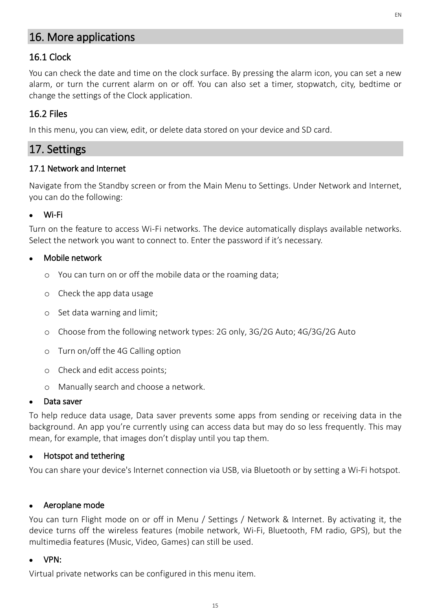# <span id="page-14-0"></span>16. More applications

# <span id="page-14-1"></span>16.1 Clock

You can check the date and time on the clock surface. By pressing the alarm icon, you can set a new alarm, or turn the current alarm on or off. You can also set a timer, stopwatch, city, bedtime or change the settings of the Clock application.

# <span id="page-14-2"></span>16.2 Files

In this menu, you can view, edit, or delete data stored on your device and SD card.

# <span id="page-14-3"></span>17. Settings

#### <span id="page-14-4"></span>17.1 Network and Internet

Navigate from the Standby screen or from the Main Menu to Settings. Under Network and Internet, you can do the following:

#### ⚫ Wi-Fi

Turn on the feature to access Wi-Fi networks. The device automatically displays available networks. Select the network you want to connect to. Enter the password if it's necessary.

#### ⚫ Mobile network

- o You can turn on or off the mobile data or the roaming data;
- o Check the app data usage
- o Set data warning and limit;
- o Choose from the following network types: 2G only, 3G/2G Auto; 4G/3G/2G Auto
- o Turn on/off the 4G Calling option
- o Check and edit access points;
- o Manually search and choose a network.

#### Data saver

To help reduce data usage, Data saver prevents some apps from sending or receiving data in the background. An app you're currently using can access data but may do so less frequently. This may mean, for example, that images don't display until you tap them.

#### ⚫ Hotspot and tethering

You can share your device's Internet connection via USB, via Bluetooth or by setting a Wi-Fi hotspot.

#### ⚫ Aeroplane mode

You can turn Flight mode on or off in Menu / Settings / Network & Internet. By activating it, the device turns off the wireless features (mobile network, Wi-Fi, Bluetooth, FM radio, GPS), but the multimedia features (Music, Video, Games) can still be used.

#### ⚫ VPN:

Virtual private networks can be configured in this menu item.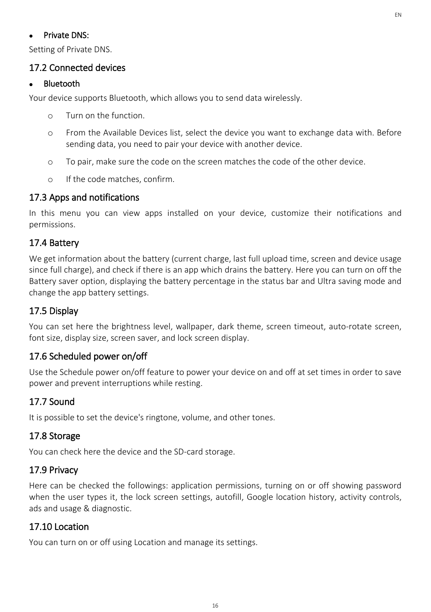#### ⚫ Private DNS:

Setting of Private DNS.

#### <span id="page-15-0"></span>17.2 Connected devices

#### **Bluetooth**

Your device supports Bluetooth, which allows you to send data wirelessly.

- o Turn on the function.
- o From the Available Devices list, select the device you want to exchange data with. Before sending data, you need to pair your device with another device.
- o To pair, make sure the code on the screen matches the code of the other device.
- o If the code matches, confirm.

### <span id="page-15-1"></span>17.3 Apps and notifications

In this menu you can view apps installed on your device, customize their notifications and permissions.

### <span id="page-15-2"></span>17.4 Battery

We get information about the battery (current charge, last full upload time, screen and device usage since full charge), and check if there is an app which drains the battery. Here you can turn on off the Battery saver option, displaying the battery percentage in the status bar and Ultra saving mode and change the app battery settings.

### <span id="page-15-3"></span>17.5 Display

You can set here the brightness level, wallpaper, dark theme, screen timeout, auto-rotate screen, font size, display size, screen saver, and lock screen display.

### <span id="page-15-4"></span>17.6 Scheduled power on/off

Use the Schedule power on/off feature to power your device on and off at set times in order to save power and prevent interruptions while resting.

### <span id="page-15-5"></span>17.7 Sound

It is possible to set the device's ringtone, volume, and other tones.

### <span id="page-15-6"></span>17.8 Storage

You can check here the device and the SD-card storage.

### <span id="page-15-7"></span>17.9 Privacy

Here can be checked the followings: application permissions, turning on or off showing password when the user types it, the lock screen settings, autofill, Google location history, activity controls, ads and usage & diagnostic.

### <span id="page-15-8"></span>17.10 Location

You can turn on or off using Location and manage its settings.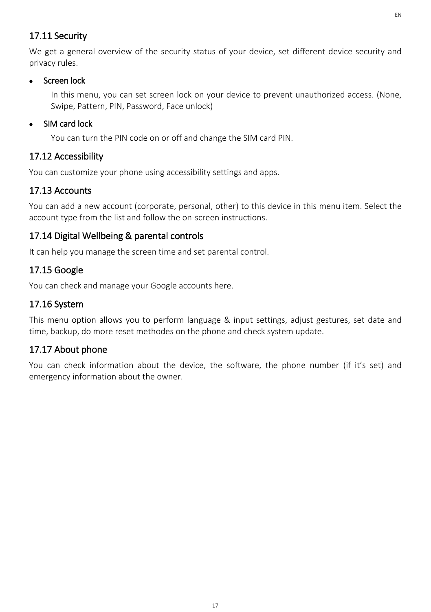### <span id="page-16-0"></span>17.11 Security

We get a general overview of the security status of your device, set different device security and privacy rules.

### ⚫ Screen lock

In this menu, you can set screen lock on your device to prevent unauthorized access. (None, Swipe, Pattern, PIN, Password, Face unlock)

### • SIM card lock

You can turn the PIN code on or off and change the SIM card PIN.

# <span id="page-16-1"></span>17.12 Accessibility

You can customize your phone using accessibility settings and apps.

# <span id="page-16-2"></span>17.13 Accounts

You can add a new account (corporate, personal, other) to this device in this menu item. Select the account type from the list and follow the on-screen instructions.

# <span id="page-16-3"></span>17.14 Digital Wellbeing & parental controls

It can help you manage the screen time and set parental control.

# <span id="page-16-4"></span>17.15 Google

You can check and manage your Google accounts here.

# <span id="page-16-5"></span>17.16 System

This menu option allows you to perform language & input settings, adjust gestures, set date and time, backup, do more reset methodes on the phone and check system update.

# <span id="page-16-6"></span>17.17 About phone

You can check information about the device, the software, the phone number (if it's set) and emergency information about the owner.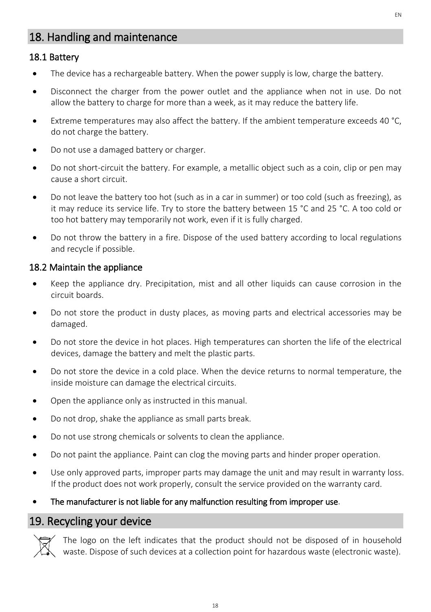# <span id="page-17-0"></span>18. Handling and maintenance

### <span id="page-17-1"></span>18.1 Battery

- The device has a rechargeable battery. When the power supply is low, charge the battery.
- Disconnect the charger from the power outlet and the appliance when not in use. Do not allow the battery to charge for more than a week, as it may reduce the battery life.
- Extreme temperatures may also affect the battery. If the ambient temperature exceeds 40 °C, do not charge the battery.
- Do not use a damaged battery or charger.
- Do not short-circuit the battery. For example, a metallic object such as a coin, clip or pen may cause a short circuit.
- Do not leave the battery too hot (such as in a car in summer) or too cold (such as freezing), as it may reduce its service life. Try to store the battery between 15 °C and 25 °C. A too cold or too hot battery may temporarily not work, even if it is fully charged.
- Do not throw the battery in a fire. Dispose of the used battery according to local regulations and recycle if possible.

### <span id="page-17-2"></span>18.2 Maintain the appliance

- Keep the appliance dry. Precipitation, mist and all other liquids can cause corrosion in the circuit boards.
- Do not store the product in dusty places, as moving parts and electrical accessories may be damaged.
- Do not store the device in hot places. High temperatures can shorten the life of the electrical devices, damage the battery and melt the plastic parts.
- Do not store the device in a cold place. When the device returns to normal temperature, the inside moisture can damage the electrical circuits.
- Open the appliance only as instructed in this manual.
- Do not drop, shake the appliance as small parts break.
- Do not use strong chemicals or solvents to clean the appliance.
- Do not paint the appliance. Paint can clog the moving parts and hinder proper operation.
- Use only approved parts, improper parts may damage the unit and may result in warranty loss. If the product does not work properly, consult the service provided on the warranty card.
- The manufacturer is not liable for any malfunction resulting from improper use.

# <span id="page-17-3"></span>19. Recycling your device



The logo on the left indicates that the product should not be disposed of in household waste. Dispose of such devices at a collection point for hazardous waste (electronic waste).